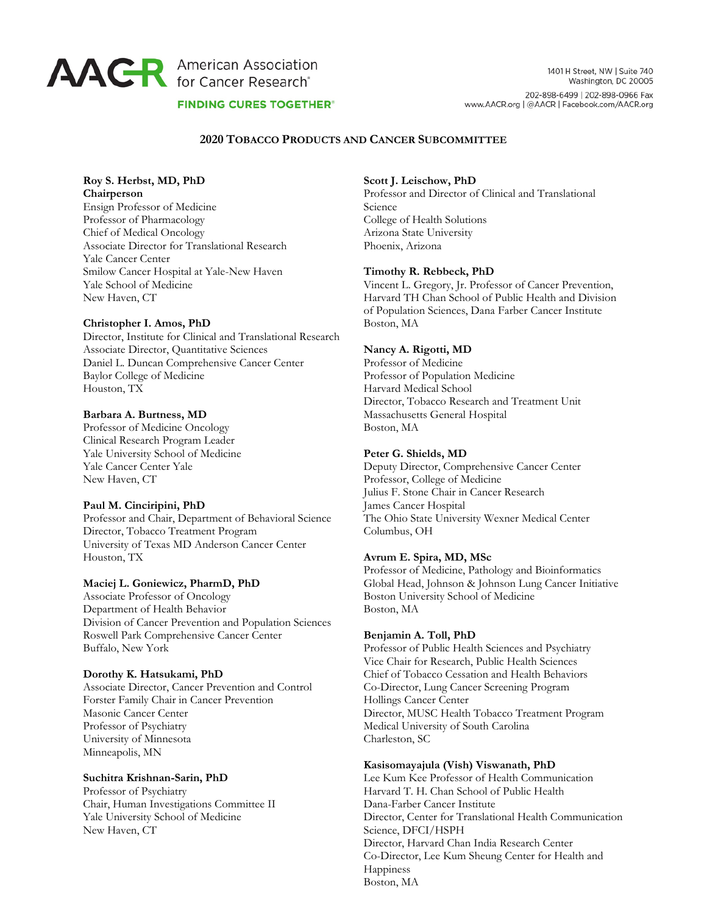# **AACR** American Association

1401 H Street, NW | Suite 740 Washington, DC 20005 202-898-6499 | 202-898-0966 Fax www.AACR.org | @AACR | Facebook.com/AACR.org

### **FINDING CURES TOGETHER®**

#### **2020 TOBACCO PRODUCTS AND CANCER SUBCOMMITTEE**

#### **Roy S. Herbst, MD, PhD Chairperson**

Ensign Professor of Medicine Professor of Pharmacology Chief of Medical Oncology Associate Director for Translational Research Yale Cancer Center Smilow Cancer Hospital at Yale-New Haven Yale School of Medicine New Haven, CT

#### **Christopher I. Amos, PhD**

Director, Institute for Clinical and Translational Research Associate Director, Quantitative Sciences Daniel L. Duncan Comprehensive Cancer Center Baylor College of Medicine Houston, TX

#### **Barbara A. Burtness, MD**

Professor of Medicine Oncology Clinical Research Program Leader Yale University School of Medicine Yale Cancer Center Yale New Haven, CT

# **Paul M. Cinciripini, PhD**

Professor and Chair, Department of Behavioral Science Director, Tobacco Treatment Program University of Texas MD Anderson Cancer Center Houston, TX

# **Maciej L. Goniewicz, PharmD, PhD**

Associate Professor of Oncology Department of Health Behavior Division of Cancer Prevention and Population Sciences Roswell Park Comprehensive Cancer Center Buffalo, New York

#### **Dorothy K. Hatsukami, PhD**

Associate Director, Cancer Prevention and Control Forster Family Chair in Cancer Prevention Masonic Cancer Center Professor of Psychiatry University of Minnesota Minneapolis, MN

# **Suchitra Krishnan-Sarin, PhD**

Professor of Psychiatry Chair, Human Investigations Committee II Yale University School of Medicine New Haven, CT

#### **Scott J. Leischow, PhD**

Professor and Director of Clinical and Translational Science College of Health Solutions Arizona State University Phoenix, Arizona

#### **Timothy R. Rebbeck, PhD**

Vincent L. Gregory, Jr. Professor of Cancer Prevention, Harvard TH Chan School of Public Health and Division of Population Sciences, Dana Farber Cancer Institute Boston, MA

#### **Nancy A. Rigotti, MD**

Professor of Medicine Professor of Population Medicine Harvard Medical School Director, Tobacco Research and Treatment Unit Massachusetts General Hospital Boston, MA

#### **Peter G. Shields, MD**

Deputy Director, Comprehensive Cancer Center Professor, College of Medicine Julius F. Stone Chair in Cancer Research James Cancer Hospital The Ohio State University Wexner Medical Center Columbus, OH

#### **Avrum E. Spira, MD, MSc**

Professor of Medicine, Pathology and Bioinformatics Global Head, Johnson & Johnson Lung Cancer Initiative Boston University School of Medicine Boston, MA

# **Benjamin A. Toll, PhD**

Professor of Public Health Sciences and Psychiatry Vice Chair for Research, Public Health Sciences Chief of Tobacco Cessation and Health Behaviors Co-Director, Lung Cancer Screening Program Hollings Cancer Center Director, MUSC Health Tobacco Treatment Program Medical University of South Carolina Charleston, SC

#### **Kasisomayajula (Vish) Viswanath, PhD**

Lee Kum Kee Professor of Health Communication Harvard T. H. Chan School of Public Health Dana-Farber Cancer Institute Director, Center for Translational Health Communication Science, DFCI/HSPH Director, Harvard Chan India Research Center Co-Director, Lee Kum Sheung Center for Health and Happiness Boston, MA